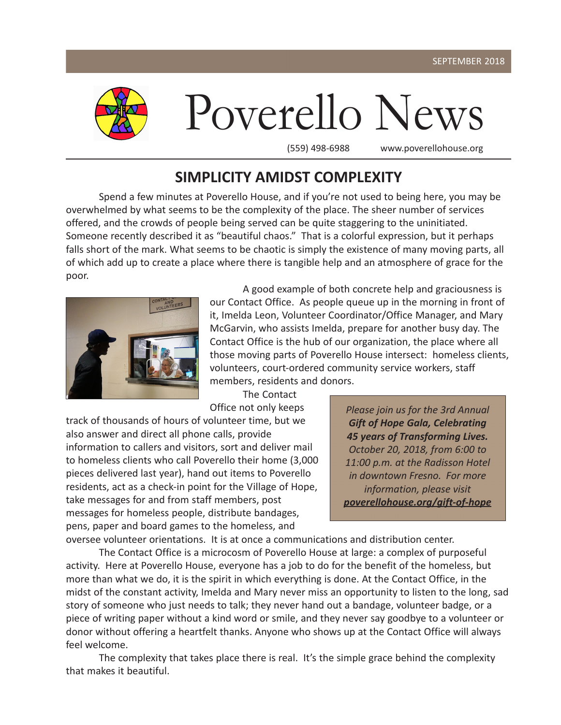

### **SIMPLICITY AMIDST COMPLEXITY**

Spend a few minutes at Poverello House, and if you're not used to being here, you may be overwhelmed by what seems to be the complexity of the place. The sheer number of services offered, and the crowds of people being served can be quite staggering to the uninitiated. Someone recently described it as "beautiful chaos." That is a colorful expression, but it perhaps falls short of the mark. What seems to be chaotic is simply the existence of many moving parts, all of which add up to create a place where there is tangible help and an atmosphere of grace for the poor.



A good example of both concrete help and graciousness is our Contact Office. As people queue up in the morning in front of it, Imelda Leon, Volunteer Coordinator/Office Manager, and Mary McGarvin, who assists Imelda, prepare for another busy day. The Contact Office is the hub of our organization, the place where all those moving parts of Poverello House intersect: homeless clients, volunteers, court-ordered community service workers, staff members, residents and donors.

The Contact Office not only keeps

track of thousands of hours of volunteer time, but we also answer and direct all phone calls, provide information to callers and visitors, sort and deliver mail to homeless clients who call Poverello their home (3,000 pieces delivered last year), hand out items to Poverello residents, act as a check-in point for the Village of Hope, take messages for and from staff members, post messages for homeless people, distribute bandages, pens, paper and board games to the homeless, and

*Please join us for the 3rd Annual Gift of Hope Gala, Celebrating 45 years of Transforming Lives. October 20, 2018, from 6:00 to 11:00 p.m. at the Radisson Hotel in downtown Fresno. For more information, please visit poverellohouse.org/gift-of-hope*

oversee volunteer orientations. It is at once a communications and distribution center.

The Contact Office is a microcosm of Poverello House at large: a complex of purposeful activity. Here at Poverello House, everyone has a job to do for the benefit of the homeless, but more than what we do, it is the spirit in which everything is done. At the Contact Office, in the midst of the constant activity, Imelda and Mary never miss an opportunity to listen to the long, sad story of someone who just needs to talk; they never hand out a bandage, volunteer badge, or a piece of writing paper without a kind word or smile, and they never say goodbye to a volunteer or donor without offering a heartfelt thanks. Anyone who shows up at the Contact Office will always feel welcome.

The complexity that takes place there is real. It's the simple grace behind the complexity that makes it beautiful.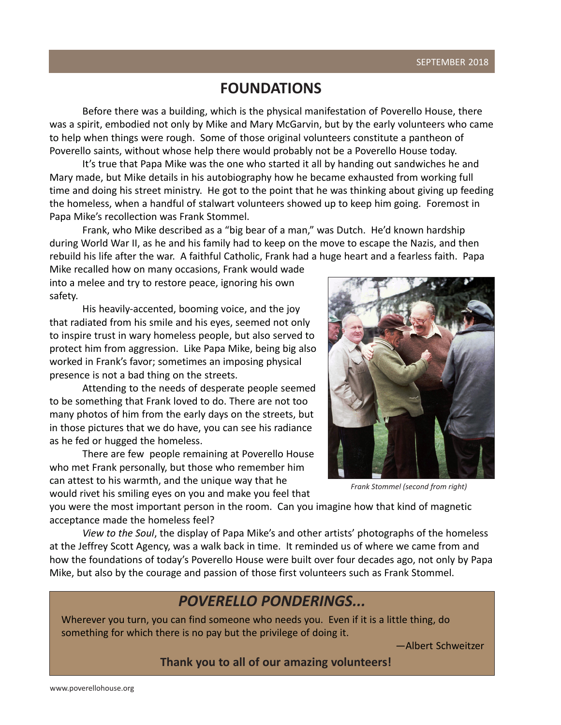www.poverellohouse.org

## **FOUNDATIONS**

Before there was a building, which is the physical manifestation of Poverello House, there was a spirit, embodied not only by Mike and Mary McGarvin, but by the early volunteers who came to help when things were rough. Some of those original volunteers constitute a pantheon of Poverello saints, without whose help there would probably not be a Poverello House today.

It's true that Papa Mike was the one who started it all by handing out sandwiches he and Mary made, but Mike details in his autobiography how he became exhausted from working full time and doing his street ministry. He got to the point that he was thinking about giving up feeding the homeless, when a handful of stalwart volunteers showed up to keep him going. Foremost in Papa Mike's recollection was Frank Stommel.

Frank, who Mike described as a "big bear of a man," was Dutch. He'd known hardship during World War II, as he and his family had to keep on the move to escape the Nazis, and then rebuild his life after the war. A faithful Catholic, Frank had a huge heart and a fearless faith. Papa

Mike recalled how on many occasions, Frank would wade into a melee and try to restore peace, ignoring his own safety.

His heavily-accented, booming voice, and the joy that radiated from his smile and his eyes, seemed not only to inspire trust in wary homeless people, but also served to protect him from aggression. Like Papa Mike, being big also worked in Frank's favor; sometimes an imposing physical presence is not a bad thing on the streets.

Attending to the needs of desperate people seemed to be something that Frank loved to do. There are not too many photos of him from the early days on the streets, but in those pictures that we do have, you can see his radiance as he fed or hugged the homeless.

There are few people remaining at Poverello House who met Frank personally, but those who remember him can attest to his warmth, and the unique way that he would rivet his smiling eyes on you and make you feel that

you were the most important person in the room. Can you imagine how that kind of magnetic acceptance made the homeless feel?

*View to the Soul*, the display of Papa Mike's and other artists' photographs of the homeless at the Jeffrey Scott Agency, was a walk back in time. It reminded us of where we came from and how the foundations of today's Poverello House were built over four decades ago, not only by Papa Mike, but also by the courage and passion of those first volunteers such as Frank Stommel.

## *POVERELLO PONDERINGS...*

Wherever you turn, you can find someone who needs you. Even if it is a little thing, do something for which there is no pay but the privilege of doing it.

—Albert Schweitzer

**Thank you to all of our amazing volunteers!**

*Frank Stommel (second from right)*